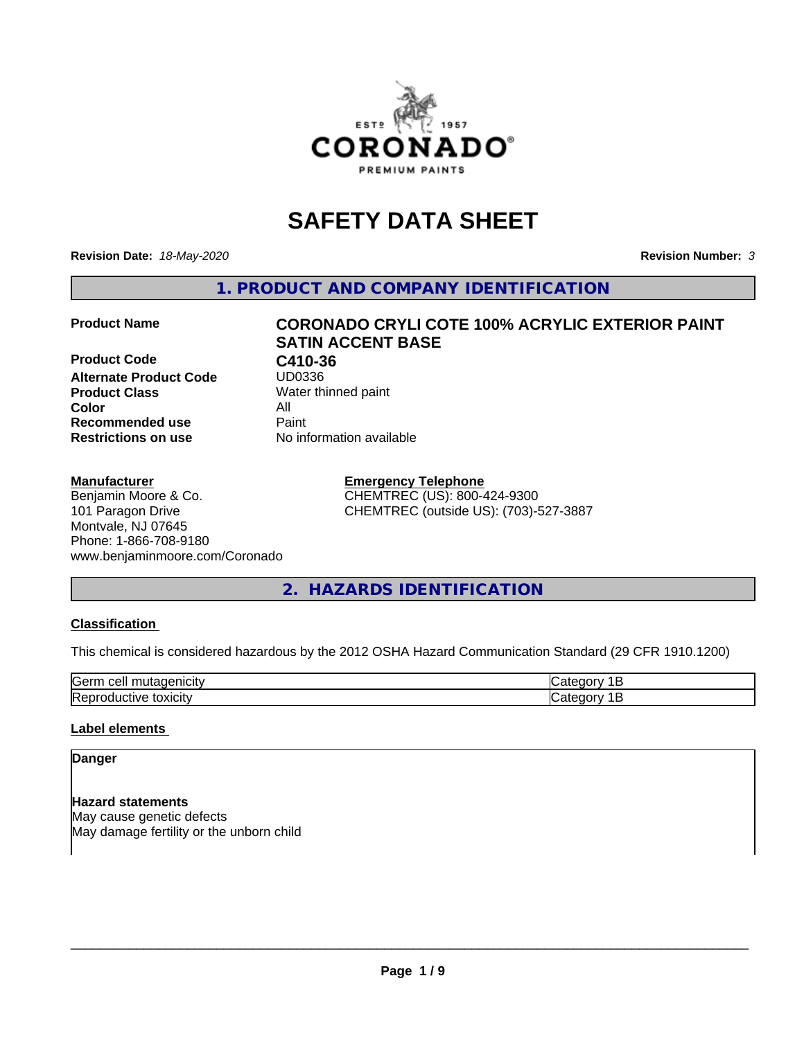

# **SAFETY DATA SHEET**

**Revision Date:** *18-May-2020* **Revision Number:** *3*

**1. PRODUCT AND COMPANY IDENTIFICATION**

**Product Code C410-36**<br>Alternate Product Code UD0336 **Alternate Product Code Product Class** Water thinned paint<br> **Color** All **Color** All **Recommended use Caint Restrictions on use** No information available

# **Product Name CORONADO CRYLI COTE 100% ACRYLIC EXTERIOR PAINT SATIN ACCENT BASE**

### **Manufacturer**

Benjamin Moore & Co. 101 Paragon Drive Montvale, NJ 07645 Phone: 1-866-708-9180 www.benjaminmoore.com/Coronado

# **Emergency Telephone** CHEMTREC (US): 800-424-9300

CHEMTREC (outside US): (703)-527-3887

# **2. HAZARDS IDENTIFICATION**

# **Classification**

This chemical is considered hazardous by the 2012 OSHA Hazard Communication Standard (29 CFR 1910.1200)

| Gerr<br>.                                          |  |
|----------------------------------------------------|--|
| m<br>$\cdots$<br>IR AI<br>ш<br>ш<br><b>JAIGILY</b> |  |

# **Label elements**

# **Danger**

**Hazard statements** May cause genetic defects May damage fertility or the unborn child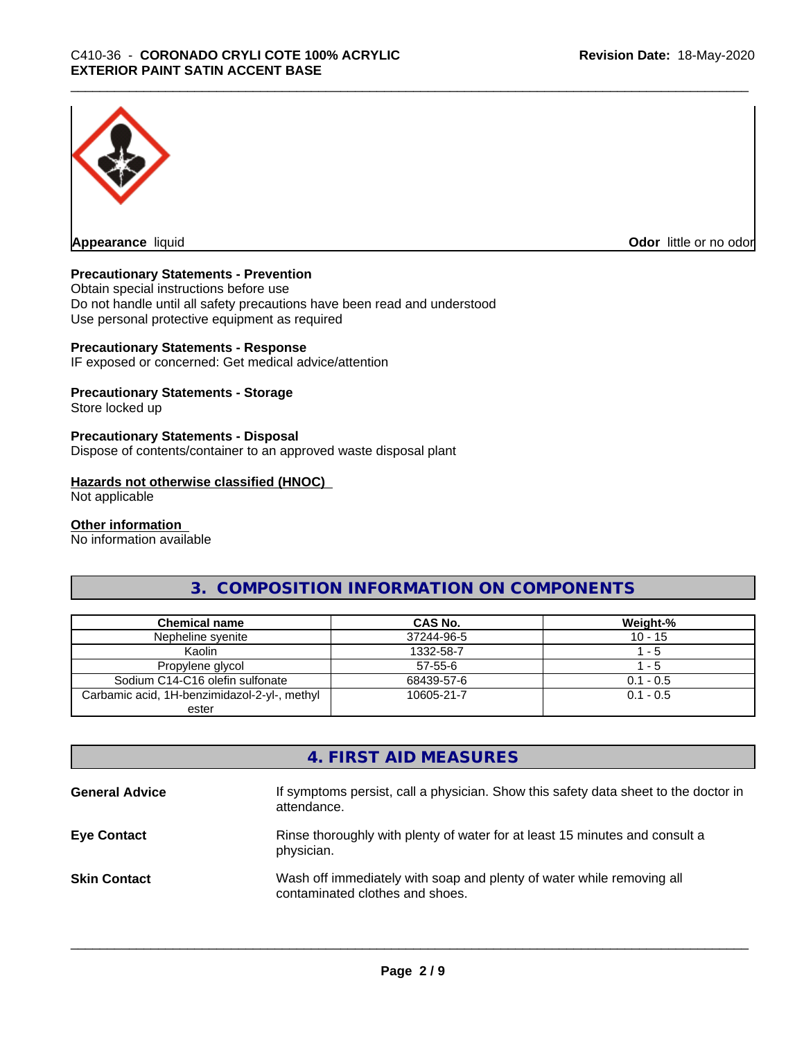

**Appearance** liquid

**Odor** little or no odor

# **Precautionary Statements - Prevention**

Obtain special instructions before use Do not handle until all safety precautions have been read and understood Use personal protective equipment as required

# **Precautionary Statements - Response**

IF exposed or concerned: Get medical advice/attention

# **Precautionary Statements - Storage**

Store locked up

### **Precautionary Statements - Disposal**

Dispose of contents/container to an approved waste disposal plant

### **Hazards not otherwise classified (HNOC)**

Not applicable

#### **Other information**

No information available

# **3. COMPOSITION INFORMATION ON COMPONENTS**

| <b>Chemical name</b>                         | CAS No.    | Weight-%    |
|----------------------------------------------|------------|-------------|
| Nepheline syenite                            | 37244-96-5 | $10 - 15$   |
| Kaolin                                       | 1332-58-7  | - 5         |
| Propylene glycol                             | 57-55-6    | - 5         |
| Sodium C14-C16 olefin sulfonate              | 68439-57-6 | $0.1 - 0.5$ |
| Carbamic acid, 1H-benzimidazol-2-yl-, methyl | 10605-21-7 | $0.1 - 0.5$ |
| ester                                        |            |             |

# **4. FIRST AID MEASURES**

| <b>General Advice</b> | If symptoms persist, call a physician. Show this safety data sheet to the doctor in<br>attendance.       |
|-----------------------|----------------------------------------------------------------------------------------------------------|
| <b>Eye Contact</b>    | Rinse thoroughly with plenty of water for at least 15 minutes and consult a<br>physician.                |
| <b>Skin Contact</b>   | Wash off immediately with soap and plenty of water while removing all<br>contaminated clothes and shoes. |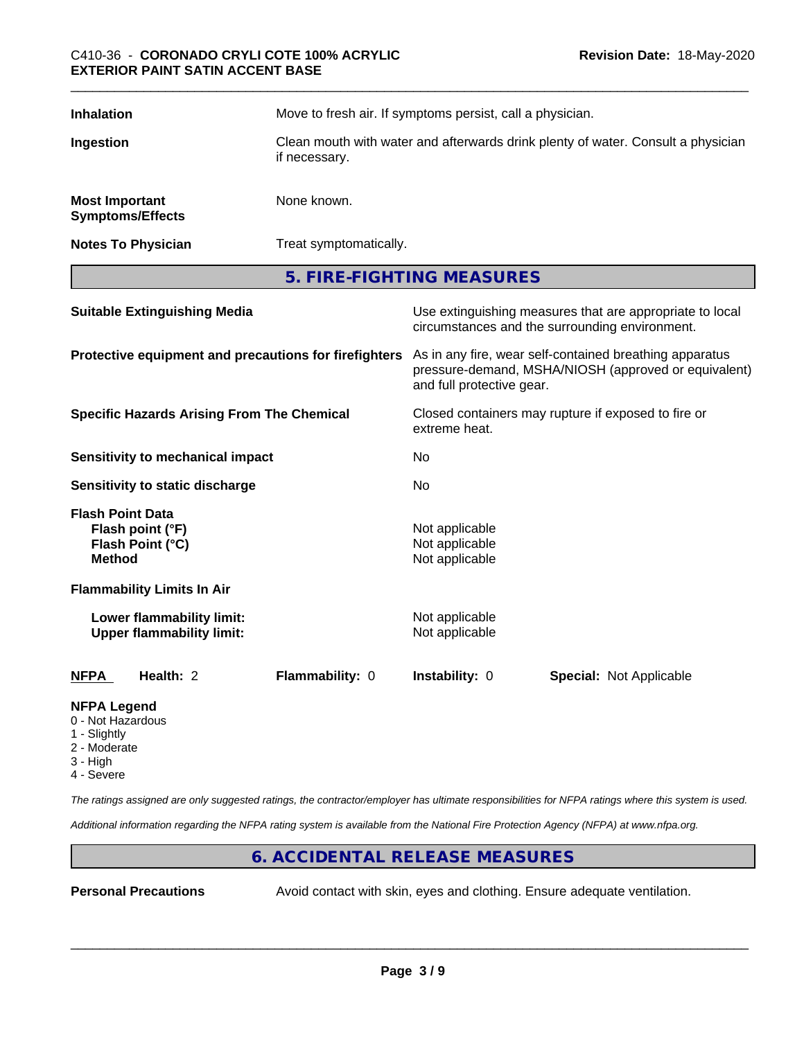| <b>Inhalation</b>                                | Move to fresh air. If symptoms persist, call a physician.                                         |
|--------------------------------------------------|---------------------------------------------------------------------------------------------------|
| Ingestion                                        | Clean mouth with water and afterwards drink plenty of water. Consult a physician<br>if necessary. |
| <b>Most Important</b><br><b>Symptoms/Effects</b> | None known.                                                                                       |
| <b>Notes To Physician</b>                        | Treat symptomatically.                                                                            |

**5. FIRE-FIGHTING MEASURES**

| <b>Suitable Extinguishing Media</b>                                              | Use extinguishing measures that are appropriate to local<br>circumstances and the surrounding environment.                                   |  |  |
|----------------------------------------------------------------------------------|----------------------------------------------------------------------------------------------------------------------------------------------|--|--|
| Protective equipment and precautions for firefighters                            | As in any fire, wear self-contained breathing apparatus<br>pressure-demand, MSHA/NIOSH (approved or equivalent)<br>and full protective gear. |  |  |
| <b>Specific Hazards Arising From The Chemical</b>                                | Closed containers may rupture if exposed to fire or<br>extreme heat.                                                                         |  |  |
| Sensitivity to mechanical impact                                                 | No                                                                                                                                           |  |  |
| Sensitivity to static discharge                                                  | No.                                                                                                                                          |  |  |
| <b>Flash Point Data</b><br>Flash point (°F)<br>Flash Point (°C)<br><b>Method</b> | Not applicable<br>Not applicable<br>Not applicable                                                                                           |  |  |
| <b>Flammability Limits In Air</b>                                                |                                                                                                                                              |  |  |
| Lower flammability limit:<br><b>Upper flammability limit:</b>                    | Not applicable<br>Not applicable                                                                                                             |  |  |
| <b>NFPA</b><br>Health: 2<br><b>Flammability: 0</b>                               | Instability: 0<br><b>Special: Not Applicable</b>                                                                                             |  |  |
| .                                                                                |                                                                                                                                              |  |  |

# **NFPA Legend**

- 0 Not Hazardous
- 1 Slightly
- 2 Moderate
- 3 High
- 4 Severe

*The ratings assigned are only suggested ratings, the contractor/employer has ultimate responsibilities for NFPA ratings where this system is used.*

*Additional information regarding the NFPA rating system is available from the National Fire Protection Agency (NFPA) at www.nfpa.org.*

# **6. ACCIDENTAL RELEASE MEASURES**

**Personal Precautions** Avoid contact with skin, eyes and clothing. Ensure adequate ventilation.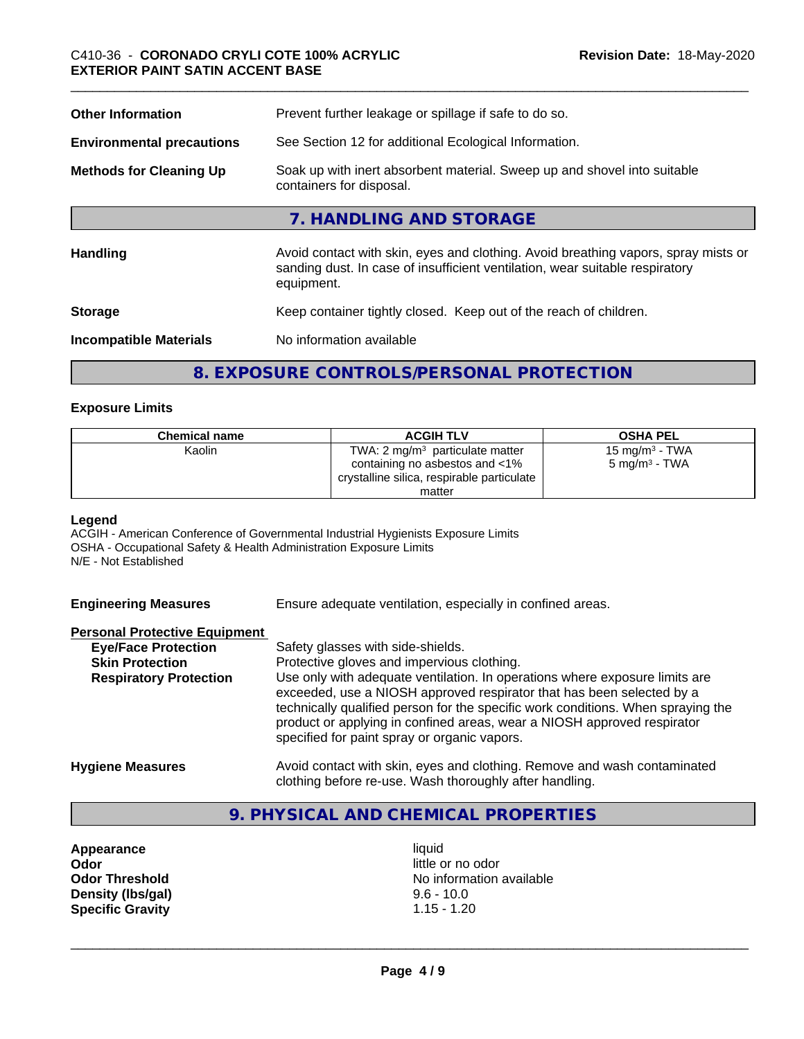| <b>Other Information</b>                                                                  | Prevent further leakage or spillage if safe to do so.                                                                                                                            |  |  |
|-------------------------------------------------------------------------------------------|----------------------------------------------------------------------------------------------------------------------------------------------------------------------------------|--|--|
| See Section 12 for additional Ecological Information.<br><b>Environmental precautions</b> |                                                                                                                                                                                  |  |  |
| <b>Methods for Cleaning Up</b>                                                            | Soak up with inert absorbent material. Sweep up and shovel into suitable<br>containers for disposal.                                                                             |  |  |
|                                                                                           | 7. HANDLING AND STORAGE                                                                                                                                                          |  |  |
| <b>Handling</b>                                                                           | Avoid contact with skin, eyes and clothing. Avoid breathing vapors, spray mists or<br>sanding dust. In case of insufficient ventilation, wear suitable respiratory<br>equipment. |  |  |
| Keep container tightly closed. Keep out of the reach of children.<br><b>Storage</b>       |                                                                                                                                                                                  |  |  |
| No information available<br><b>Incompatible Materials</b>                                 |                                                                                                                                                                                  |  |  |
|                                                                                           | 8. EXPOSURE CONTROLS/PERSONAL PROTECTION                                                                                                                                         |  |  |

# **Exposure Limits**

| <b>Chemical name</b> | <b>ACGIH TLV</b>                           | <b>OSHA PEL</b>           |
|----------------------|--------------------------------------------|---------------------------|
| Kaolin               | TWA: $2 \text{ mg/m}^3$ particulate matter | 15 mg/m $3$ - TWA         |
|                      | containing no asbestos and <1%             | 5 mg/m <sup>3</sup> - TWA |
|                      | crystalline silica, respirable particulate |                           |
|                      | matter                                     |                           |

# **Legend**

ACGIH - American Conference of Governmental Industrial Hygienists Exposure Limits OSHA - Occupational Safety & Health Administration Exposure Limits N/E - Not Established

**Engineering Measures** Ensure adequate ventilation, especially in confined areas.

#### **Personal Protective Equipment**

| <b>Eye/Face Protection</b>    | Safety glasses with side-shields.                                                                                                                                                                                                                                                                                                                                   |
|-------------------------------|---------------------------------------------------------------------------------------------------------------------------------------------------------------------------------------------------------------------------------------------------------------------------------------------------------------------------------------------------------------------|
| <b>Skin Protection</b>        | Protective gloves and impervious clothing.                                                                                                                                                                                                                                                                                                                          |
| <b>Respiratory Protection</b> | Use only with adequate ventilation. In operations where exposure limits are<br>exceeded, use a NIOSH approved respirator that has been selected by a<br>technically qualified person for the specific work conditions. When spraying the<br>product or applying in confined areas, wear a NIOSH approved respirator<br>specified for paint spray or organic vapors. |
| <b>Hygiene Measures</b>       | Avoid contact with skin, eyes and clothing. Remove and wash contaminated                                                                                                                                                                                                                                                                                            |

# clothing before re-use. Wash thoroughly after handling.

# **9. PHYSICAL AND CHEMICAL PROPERTIES**

**Appearance** liquid **and a limitation of the contract of the contract of the contract of the contract of the contra<br>
<b>Contract of the contract of the contract of the contract of the contract of the contract of the contract Density (lbs/gal)** 9.6 - 10.0<br> **Specific Gravity** 1.15 - 1.20 **Specific Gravity** 

little or no odor **Odor Threshold No information available No information available**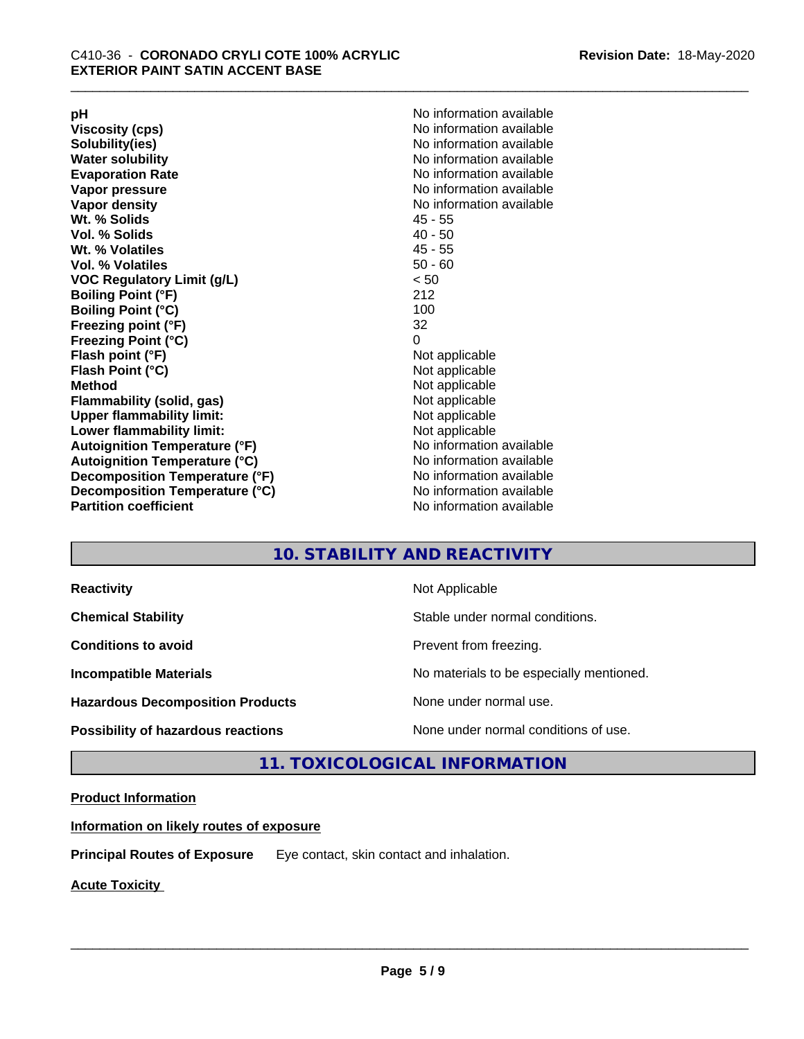**Viscosity (cps)** <br> **Viscosity (cps)** No information available<br>
No information available<br>
No information available **Water solubility**<br> **Evaporation Rate**<br> **Evaporation Rate**<br> **Evaporation Rate Vapor pressure** No information available **Vapor density No information available No information available Wt. % Solids** 45 - 55 **Vol. % Solids Wt. % Volatiles** 45 - 55 **Vol. % Volatiles** 50 - 60 **VOC Regulatory Limit (g/L)** < 50 **Boiling Point (°F)** 212 **Boiling Point (°C) Freezing point (°F)** 32 **Freezing Point (°C)** 0 **Flash point (°F)** Not applicable **Flash Point (°C)** Not applicable **Method**<br> **Flammability (solid, gas)**<br> **Example 2018** Not applicable **Flammability** (solid, gas) **Upper flammability limit:** Not applicable **Lower flammability limit:** Not applicable **Autoignition Temperature (°F)** No information available **Autoignition Temperature (°C)** No information available **Decomposition Temperature (°F)** No information available **Decomposition Temperature (°C)** No information available<br> **Partition coefficient Partition available** 

**pH**<br>
Viscosity (cps) The Contract Contract Contract Contract Contract Contract Contract Contract Contract Contract Co<br>
No information available **Solubility(ies)** No information available **Evaporation Rate** No information available **No information available** 

# **10. STABILITY AND REACTIVITY**

| <b>Reactivity</b>                         | Not Applicable                           |
|-------------------------------------------|------------------------------------------|
| <b>Chemical Stability</b>                 | Stable under normal conditions.          |
| <b>Conditions to avoid</b>                | Prevent from freezing.                   |
| <b>Incompatible Materials</b>             | No materials to be especially mentioned. |
| <b>Hazardous Decomposition Products</b>   | None under normal use.                   |
| <b>Possibility of hazardous reactions</b> | None under normal conditions of use.     |

# **11. TOXICOLOGICAL INFORMATION**

# **Product Information**

**Information on likely routes of exposure**

**Principal Routes of Exposure** Eye contact, skin contact and inhalation.

**Acute Toxicity**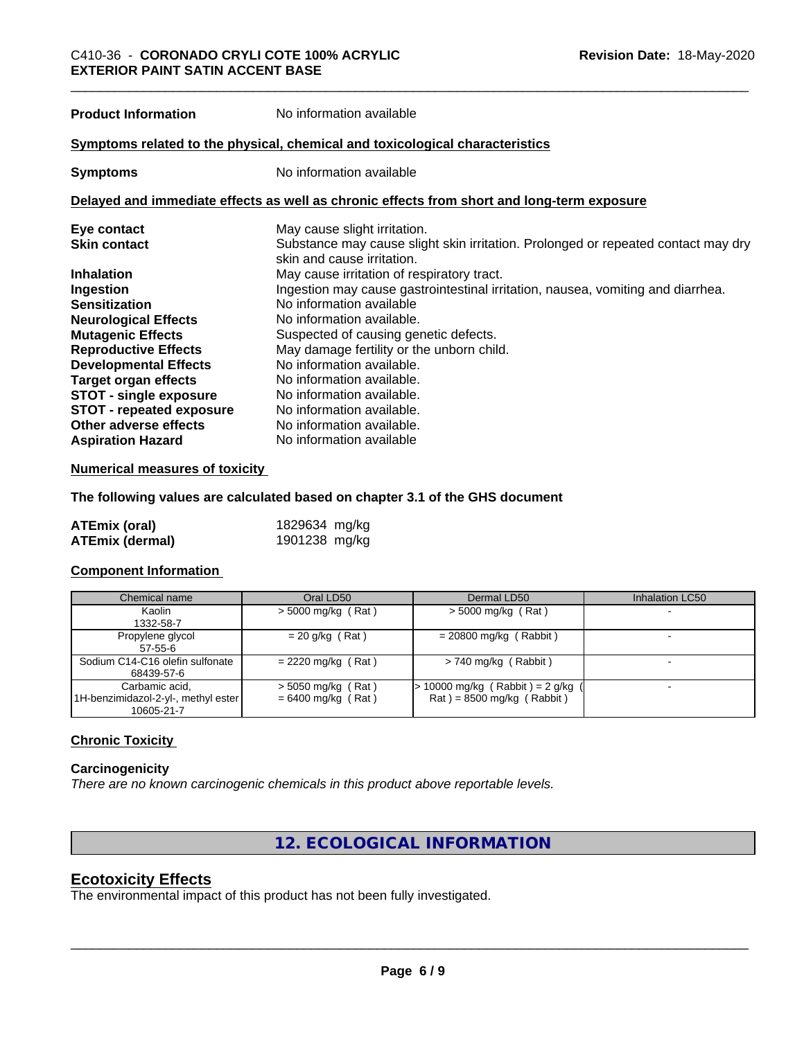**Product Information** No information available

# **Symptoms related to the physical,chemical and toxicological characteristics**

**Symptoms** No information available

### **Delayed and immediate effects as well as chronic effects from short and long-term exposure**

| Eye contact                     | May cause slight irritation.                                                      |
|---------------------------------|-----------------------------------------------------------------------------------|
| <b>Skin contact</b>             | Substance may cause slight skin irritation. Prolonged or repeated contact may dry |
|                                 | skin and cause irritation.                                                        |
| <b>Inhalation</b>               | May cause irritation of respiratory tract.                                        |
| Ingestion                       | Ingestion may cause gastrointestinal irritation, nausea, vomiting and diarrhea.   |
| <b>Sensitization</b>            | No information available                                                          |
| <b>Neurological Effects</b>     | No information available.                                                         |
| <b>Mutagenic Effects</b>        | Suspected of causing genetic defects.                                             |
| <b>Reproductive Effects</b>     | May damage fertility or the unborn child.                                         |
| <b>Developmental Effects</b>    | No information available.                                                         |
| Target organ effects            | No information available.                                                         |
| <b>STOT - single exposure</b>   | No information available.                                                         |
| <b>STOT - repeated exposure</b> | No information available.                                                         |
| Other adverse effects           | No information available.                                                         |
| <b>Aspiration Hazard</b>        | No information available                                                          |

# **Numerical measures of toxicity**

**The following values are calculated based on chapter 3.1 of the GHS document**

| ATEmix (oral)          | 1829634 mg/kg |  |
|------------------------|---------------|--|
| <b>ATEmix (dermal)</b> | 1901238 mg/kg |  |

# **Component Information**

| Chemical name                                         | Oral LD50                                    | Dermal LD50                                                        | Inhalation LC50 |
|-------------------------------------------------------|----------------------------------------------|--------------------------------------------------------------------|-----------------|
| Kaolin                                                | $>$ 5000 mg/kg (Rat)                         | $>$ 5000 mg/kg (Rat)                                               |                 |
| 1332-58-7                                             |                                              |                                                                    |                 |
| Propylene glycol<br>57-55-6                           | $= 20$ g/kg (Rat)                            | $= 20800$ mg/kg (Rabbit)                                           |                 |
| Sodium C14-C16 olefin sulfonate<br>68439-57-6         | $= 2220$ mg/kg (Rat)                         | $> 740$ mg/kg (Rabbit)                                             |                 |
| Carbamic acid,<br>1H-benzimidazol-2-yl-, methyl ester | $>$ 5050 mg/kg (Rat)<br>$= 6400$ mg/kg (Rat) | $> 10000$ mg/kg (Rabbit) = 2 g/kg (<br>$Rat$ = 8500 mg/kg (Rabbit) |                 |
| 10605-21-7                                            |                                              |                                                                    |                 |

# **Chronic Toxicity**

# **Carcinogenicity**

*There are no known carcinogenic chemicals in this product above reportable levels.*

**12. ECOLOGICAL INFORMATION**

# **Ecotoxicity Effects**

The environmental impact of this product has not been fully investigated.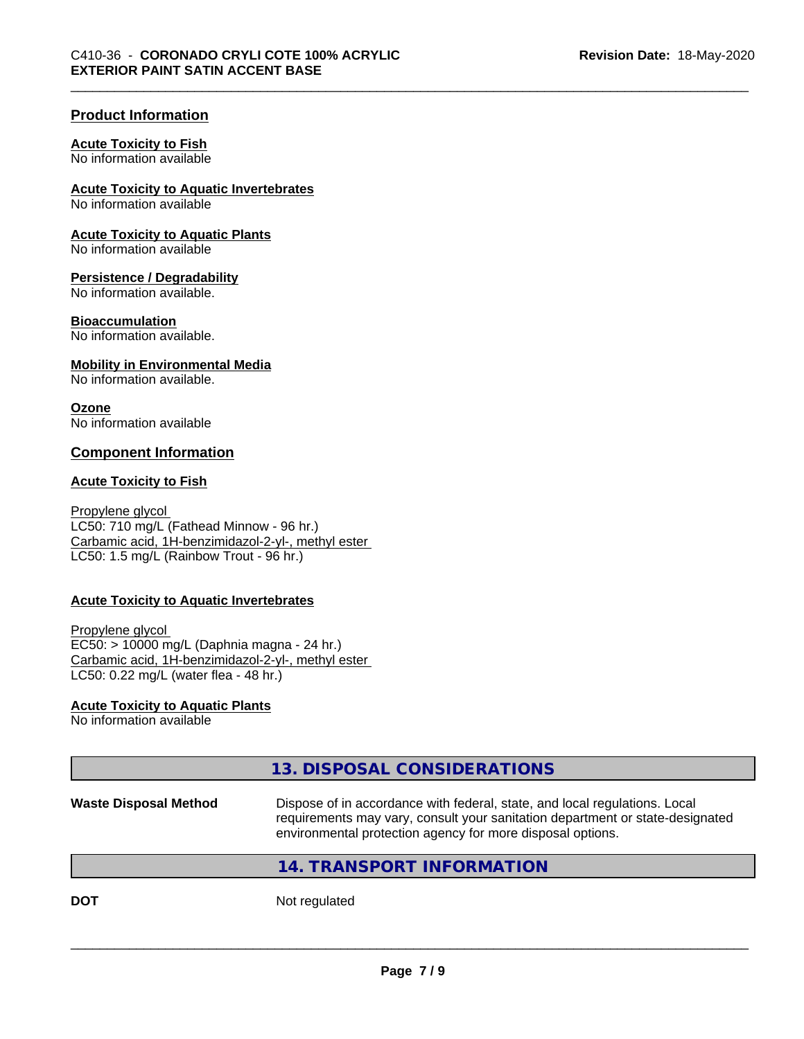# **Product Information**

#### **Acute Toxicity to Fish**

No information available

# **Acute Toxicity to Aquatic Invertebrates**

No information available

## **Acute Toxicity to Aquatic Plants**

No information available

## **Persistence / Degradability**

No information available.

# **Bioaccumulation**

No information available.

### **Mobility in Environmental Media**

No information available.

### **Ozone**

No information available

# **Component Information**

### **Acute Toxicity to Fish**

Propylene glycol LC50: 710 mg/L (Fathead Minnow - 96 hr.) Carbamic acid, 1H-benzimidazol-2-yl-, methyl ester LC50: 1.5 mg/L (Rainbow Trout - 96 hr.)

# **Acute Toxicity to Aquatic Invertebrates**

Propylene glycol EC50: > 10000 mg/L (Daphnia magna - 24 hr.) Carbamic acid, 1H-benzimidazol-2-yl-, methyl ester LC50: 0.22 mg/L (water flea - 48 hr.)

# **Acute Toxicity to Aquatic Plants**

No information available

|                              | 13. DISPOSAL CONSIDERATIONS                                                                                                                                                                                               |  |
|------------------------------|---------------------------------------------------------------------------------------------------------------------------------------------------------------------------------------------------------------------------|--|
| <b>Waste Disposal Method</b> | Dispose of in accordance with federal, state, and local regulations. Local<br>requirements may vary, consult your sanitation department or state-designated<br>environmental protection agency for more disposal options. |  |
|                              | 14. TRANSPORT INFORMATION                                                                                                                                                                                                 |  |
| <b>DOT</b>                   | Not regulated                                                                                                                                                                                                             |  |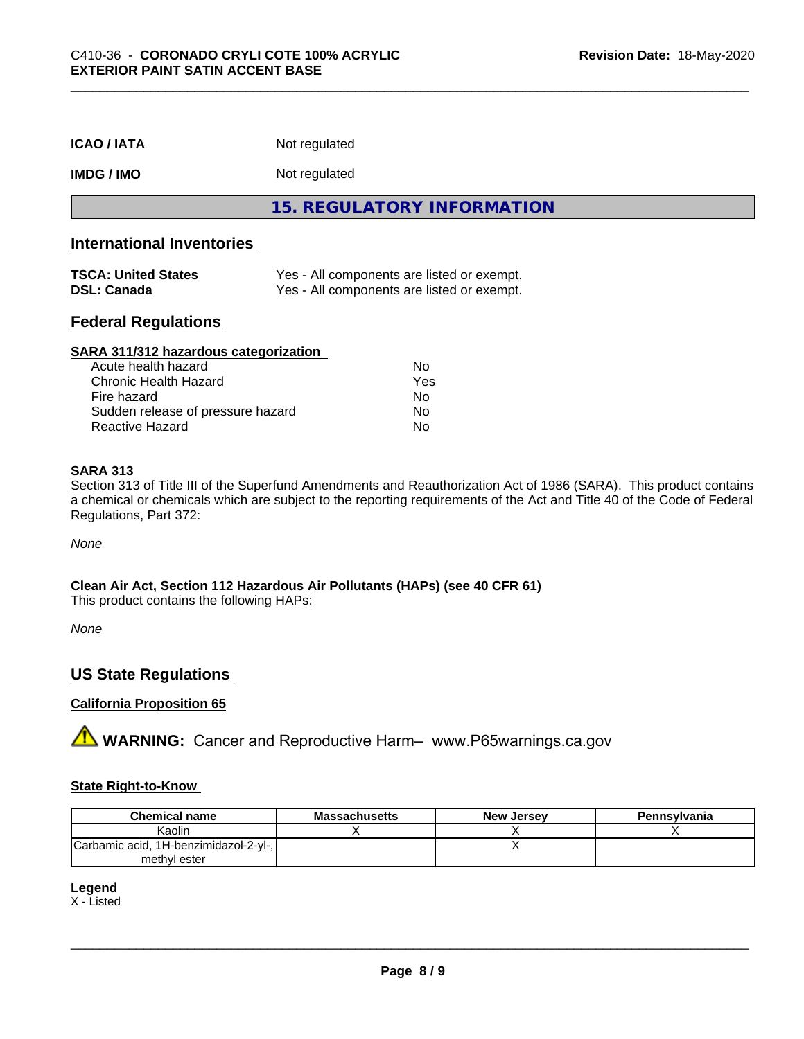| <b>ICAO / IATA</b>                               | Not regulated                                                                            |  |  |  |
|--------------------------------------------------|------------------------------------------------------------------------------------------|--|--|--|
| <b>IMDG / IMO</b>                                | Not regulated                                                                            |  |  |  |
|                                                  | <b>15. REGULATORY INFORMATION</b>                                                        |  |  |  |
| <b>International Inventories</b>                 |                                                                                          |  |  |  |
| <b>TSCA: United States</b><br><b>DSL: Canada</b> | Yes - All components are listed or exempt.<br>Yes - All components are listed or exempt. |  |  |  |
| Eaderal Deculations                              |                                                                                          |  |  |  |

# **Federal Regulations**

| SARA 311/312 hazardous categorization |     |  |
|---------------------------------------|-----|--|
| Acute health hazard                   | Nο  |  |
| Chronic Health Hazard                 | Yes |  |
| Fire hazard                           | No  |  |
| Sudden release of pressure hazard     | No  |  |
| <b>Reactive Hazard</b>                | No  |  |

# **SARA 313**

Section 313 of Title III of the Superfund Amendments and Reauthorization Act of 1986 (SARA). This product contains a chemical or chemicals which are subject to the reporting requirements of the Act and Title 40 of the Code of Federal Regulations, Part 372:

*None*

# **Clean Air Act,Section 112 Hazardous Air Pollutants (HAPs) (see 40 CFR 61)**

This product contains the following HAPs:

*None*

# **US State Regulations**

# **California Proposition 65**

**A WARNING:** Cancer and Reproductive Harm– www.P65warnings.ca.gov

# **State Right-to-Know**

| <b>Chemical name</b>                  | <b>Massachusetts</b> | <b>New Jersey</b> | Pennsylvania |
|---------------------------------------|----------------------|-------------------|--------------|
| Kaolin                                |                      |                   |              |
| Carbamic acid, 1H-benzimidazol-2-yl-, |                      |                   |              |
| methyl ester                          |                      |                   |              |

**Legend**

X - Listed